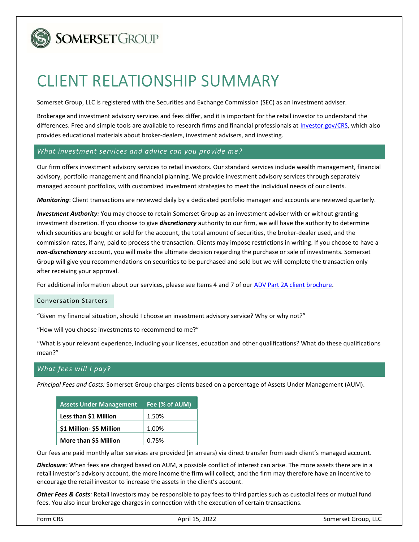

# SOMERSET GROUP

# CLIENT RELATIONSHIP SUMMARY

Somerset Group, LLC is registered with the Securities and Exchange Commission (SEC) as an investment adviser.

Brokerage and investment advisory services and fees differ, and it is important for the retail investor to understand the differences. Free and simple tools are available to research firms and financial professionals at Investor.gov/CRS, which also provides educational materials about broker-dealers, investment advisers, and investing.

# What investment services and advice can you provide me?

Our firm offers investment advisory services to retail investors. Our standard services include wealth management, financial advisory, portfolio management and financial planning. We provide investment advisory services through separately managed account portfolios, with customized investment strategies to meet the individual needs of our clients.

Monitoring: Client transactions are reviewed daily by a dedicated portfolio manager and accounts are reviewed quarterly.

Investment Authority: You may choose to retain Somerset Group as an investment adviser with or without granting investment discretion. If you choose to give *discretionary* authority to our firm, we will have the authority to determine which securities are bought or sold for the account, the total amount of securities, the broker-dealer used, and the commission rates, if any, paid to process the transaction. Clients may impose restrictions in writing. If you choose to have a non-discretionary account, you will make the ultimate decision regarding the purchase or sale of investments. Somerset Group will give you recommendations on securities to be purchased and sold but we will complete the transaction only after receiving your approval.

For additional information about our services, please see Items 4 and 7 of our ADV Part 2A client brochure.

# Conversation Starters

"Given my financial situation, should I choose an investment advisory service? Why or why not?"

"How will you choose investments to recommend to me?"

"What is your relevant experience, including your licenses, education and other qualifications? What do these qualifications mean?"

# What fees will I pay?

Principal Fees and Costs: Somerset Group charges clients based on a percentage of Assets Under Management (AUM).

| <b>Assets Under Management</b> | Fee (% of AUM) |
|--------------------------------|----------------|
| Less than \$1 Million          | 1.50%          |
| \$1 Million- \$5 Million       | 1.00%          |
| More than \$5 Million          | 0.75%          |

Our fees are paid monthly after services are provided (in arrears) via direct transfer from each client's managed account.

Disclosure: When fees are charged based on AUM, a possible conflict of interest can arise. The more assets there are in a retail investor's advisory account, the more income the firm will collect, and the firm may therefore have an incentive to encourage the retail investor to increase the assets in the client's account.

Other Fees & Costs: Retail Investors may be responsible to pay fees to third parties such as custodial fees or mutual fund fees. You also incur brokerage charges in connection with the execution of certain transactions.